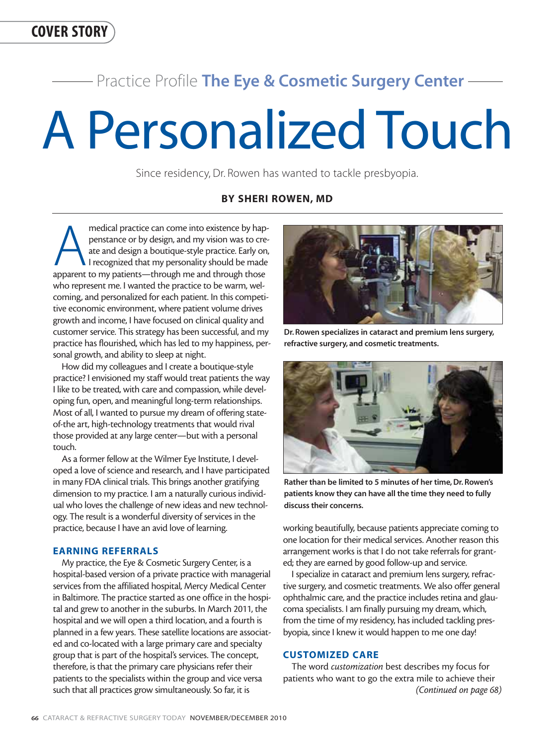# Practice Profile **The Eye & Cosmetic Surgery Center**

# A Personalized Touch

Since residency, Dr. Rowen has wanted to tackle presbyopia.

# **BY SHERI ROWEN, MD**

medical practice can come into existence by hap-<br>penstance or by design, and my vision was to cre-<br>ate and design a boutique-style practice. Early on,<br>recognized that my personality should be made<br>apparent to my patients—t penstance or by design, and my vision was to create and design a boutique-style practice. Early on, I recognized that my personality should be made who represent me. I wanted the practice to be warm, welcoming, and personalized for each patient. In this competitive economic environment, where patient volume drives growth and income, I have focused on clinical quality and customer service. This strategy has been successful, and my practice has flourished, which has led to my happiness, personal growth, and ability to sleep at night.

How did my colleagues and I create a boutique-style practice? I envisioned my staff would treat patients the way I like to be treated, with care and compassion, while developing fun, open, and meaningful long-term relationships. Most of all, I wanted to pursue my dream of offering stateof-the art, high-technology treatments that would rival those provided at any large center—but with a personal touch.

As a former fellow at the Wilmer Eye Institute, I developed a love of science and research, and I have participated in many FDA clinical trials. This brings another gratifying dimension to my practice. I am a naturally curious individual who loves the challenge of new ideas and new technology. The result is a wonderful diversity of services in the practice, because I have an avid love of learning.

## **EARNING REFERRALS**

My practice, the Eye & Cosmetic Surgery Center, is a hospital-based version of a private practice with managerial services from the affiliated hospital, Mercy Medical Center in Baltimore. The practice started as one office in the hospital and grew to another in the suburbs. In March 2011, the hospital and we will open a third location, and a fourth is planned in a few years. These satellite locations are associated and co-located with a large primary care and specialty group that is part of the hospital's services. The concept, therefore, is that the primary care physicians refer their patients to the specialists within the group and vice versa such that all practices grow simultaneously. So far, it is



**Dr. Rowen specializes in cataract and premium lens surgery, refractive surgery, and cosmetic treatments.**



**Rather than be limited to 5 minutes of her time, Dr. Rowen's patients know they can have all the time they need to fully discuss their concerns.**

working beautifully, because patients appreciate coming to one location for their medical services. Another reason this arrangement works is that I do not take referrals for granted; they are earned by good follow-up and service.

I specialize in cataract and premium lens surgery, refractive surgery, and cosmetic treatments. We also offer general ophthalmic care, and the practice includes retina and glaucoma specialists. I am finally pursuing my dream, which, from the time of my residency, has included tackling presbyopia, since I knew it would happen to me one day!

## **CUSTOMIZED CARE**

The word *customization* best describes my focus for patients who want to go the extra mile to achieve their *(Continued on page 68)*